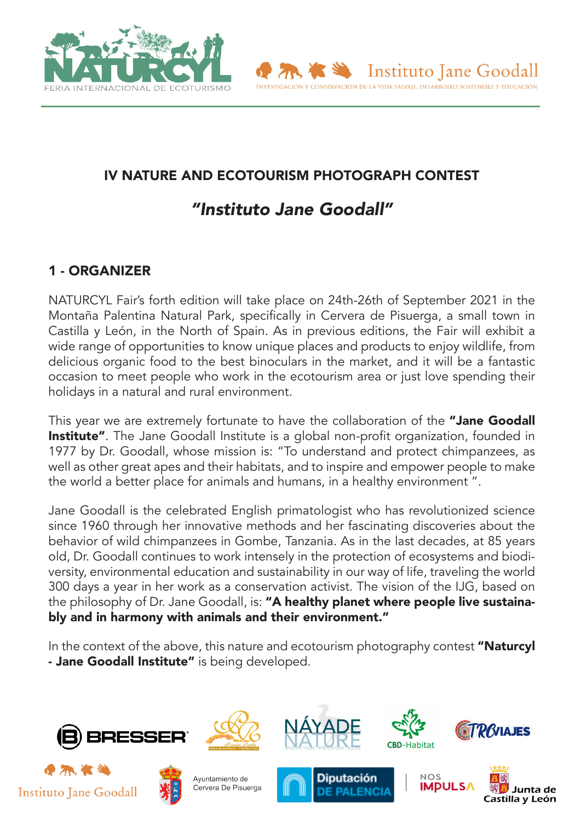



# IV NATURE AND ECOTOURISM PHOTOGRAPH CONTEST

# *"Instituto Jane Goodall"*

# 1 - ORGANIZER

NATURCYL Fair's forth edition will take place on 24th-26th of September 2021 in the Montaña Palentina Natural Park, specifically in Cervera de Pisuerga, a small town in Castilla y León, in the North of Spain. As in previous editions, the Fair will exhibit a wide range of opportunities to know unique places and products to enjoy wildlife, from delicious organic food to the best binoculars in the market, and it will be a fantastic occasion to meet people who work in the ecotourism area or just love spending their holidays in a natural and rural environment.

This year we are extremely fortunate to have the collaboration of the "Jane Goodall **Institute"**. The Jane Goodall Institute is a global non-profit organization, founded in 1977 by Dr. Goodall, whose mission is: "To understand and protect chimpanzees, as well as other great apes and their habitats, and to inspire and empower people to make the world a better place for animals and humans, in a healthy environment ".

Jane Goodall is the celebrated English primatologist who has revolutionized science since 1960 through her innovative methods and her fascinating discoveries about the behavior of wild chimpanzees in Gombe, Tanzania. As in the last decades, at 85 years old, Dr. Goodall continues to work intensely in the protection of ecosystems and biodiversity, environmental education and sustainability in our way of life, traveling the world 300 days a year in her work as a conservation activist. The vision of the IJG, based on the philosophy of Dr. Jane Goodall, is: "A healthy planet where people live sustainably and in harmony with animals and their environment."

In the context of the above, this nature and ecotourism photography contest "Naturcyl - Jane Goodall Institute" is being developed.











**Diputación** 





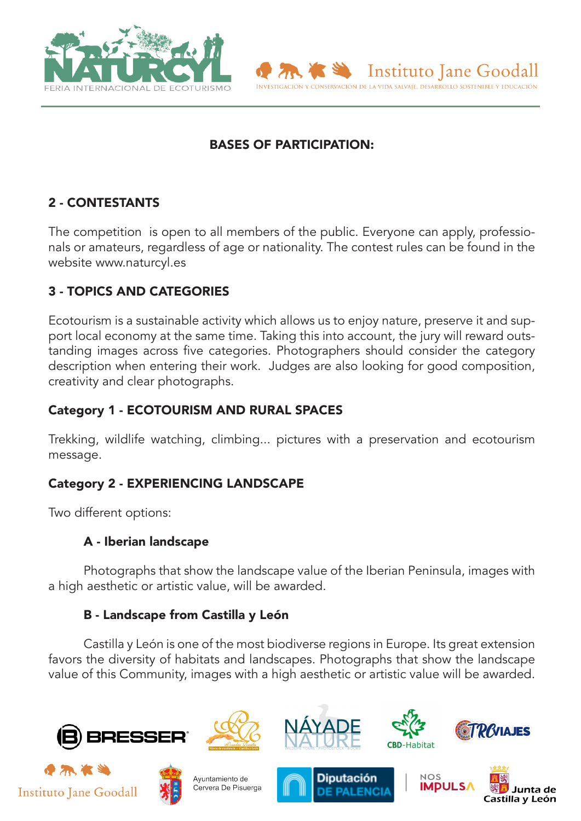



# 2 - CONTESTANTS

The competition is open to all members of the public. Everyone can apply, professionals or amateurs, regardless of age or nationality. The contest rules can be found in the website www.naturcyl.es

# 3 - TOPICS AND CATEGORIES

Ecotourism is a sustainable activity which allows us to enjoy nature, preserve it and support local economy at the same time. Taking this into account, the jury will reward outstanding images across five categories. Photographers should consider the category description when entering their work. Judges are also looking for good composition, creativity and clear photographs.

# Category 1 - ECOTOURISM AND RURAL SPACES

Trekking, wildlife watching, climbing... pictures with a preservation and ecotourism message.

# Category 2 - EXPERIENCING LANDSCAPE

Two different options:

# A - Iberian landscape

Photographs that show the landscape value of the Iberian Peninsula, images with a high aesthetic or artistic value, will be awarded.

# B - Landscape from Castilla y León

Castilla y León is one of the most biodiverse regions in Europe. Its great extension favors the diversity of habitats and landscapes. Photographs that show the landscape value of this Community, images with a high aesthetic or artistic value will be awarded.









Instituto Jane Goodall

INVESTIGACIÓN Y CONSERVACIÓN DE LA VIDA SALVAJE, DESARROLLO SOSTENIBLE Y EDUCACIÓN





Ayuntamiento de Cervera De Pisuerga





Castilla y León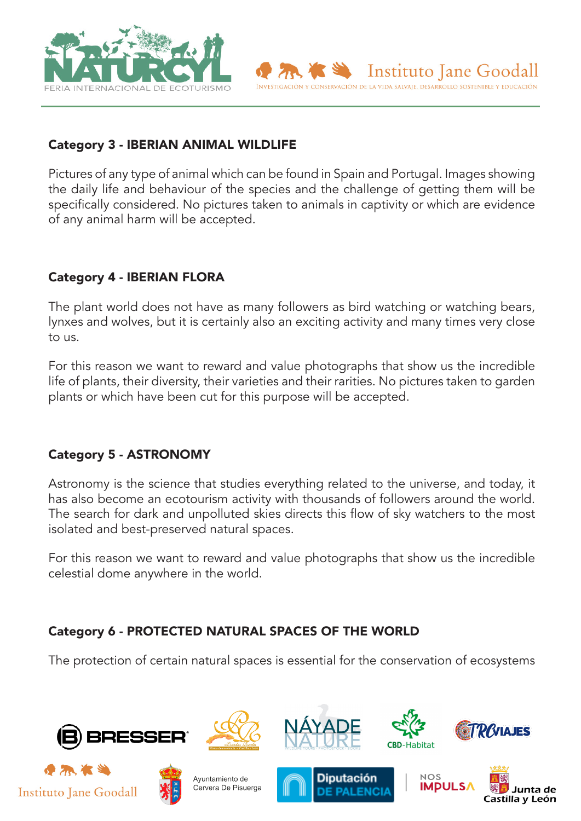



Pictures of any type of animal which can be found in Spain and Portugal. Images showing the daily life and behaviour of the species and the challenge of getting them will be specifically considered. No pictures taken to animals in captivity or which are evidence of any animal harm will be accepted.

Instituto lane Goodall

INVESTIGACIÓN Y CONSERVACIÓN DE LA VIDA SALVAJE, DESARROLLO SOSTENIBLE Y EDUCACIÓN

# Category 4 - IBERIAN FLORA

The plant world does not have as many followers as bird watching or watching bears, lynxes and wolves, but it is certainly also an exciting activity and many times very close to us.

For this reason we want to reward and value photographs that show us the incredible life of plants, their diversity, their varieties and their rarities. No pictures taken to garden plants or which have been cut for this purpose will be accepted.

# Category 5 - ASTRONOMY

Astronomy is the science that studies everything related to the universe, and today, it has also become an ecotourism activity with thousands of followers around the world. The search for dark and unpolluted skies directs this flow of sky watchers to the most isolated and best-preserved natural spaces.

For this reason we want to reward and value photographs that show us the incredible celestial dome anywhere in the world.

# Category 6 - PROTECTED NATURAL SPACES OF THE WORLD

The protection of certain natural spaces is essential for the conservation of ecosystems

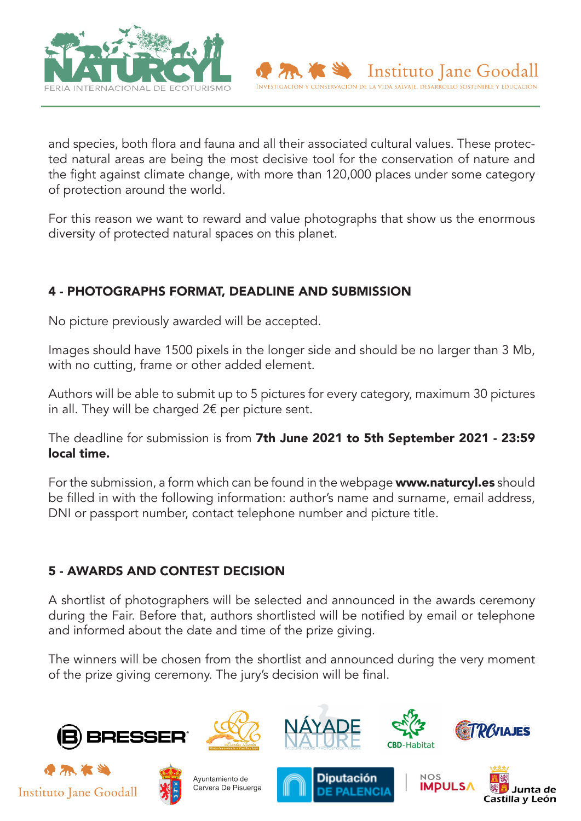

and species, both flora and fauna and all their associated cultural values. These protected natural areas are being the most decisive tool for the conservation of nature and the fight against climate change, with more than 120,000 places under some category of protection around the world.

For this reason we want to reward and value photographs that show us the enormous diversity of protected natural spaces on this planet.

# 4 - PHOTOGRAPHS FORMAT, DEADLINE AND SUBMISSION

No picture previously awarded will be accepted.

Images should have 1500 pixels in the longer side and should be no larger than 3 Mb, with no cutting, frame or other added element.

Authors will be able to submit up to 5 pictures for every category, maximum 30 pictures in all. They will be charged  $2 \epsilon$  per picture sent.

The deadline for submission is from 7th June 2021 to 5th September 2021 - 23:59 local time.

For the submission, a form which can be found in the webpage **www.naturcyl.es** should be filled in with the following information: author's name and surname, email address, DNI or passport number, contact telephone number and picture title.

# 5 - AWARDS AND CONTEST DECISION

A shortlist of photographers will be selected and announced in the awards ceremony during the Fair. Before that, authors shortlisted will be notified by email or telephone and informed about the date and time of the prize giving.

The winners will be chosen from the shortlist and announced during the very moment of the prize giving ceremony. The jury's decision will be final.











Diputación







Instituto Jane Goodall

INVESTIGACIÓN Y CONSERVACIÓN DE LA VIDA SALVAJE, DESARROLLO SOSTENIBLE Y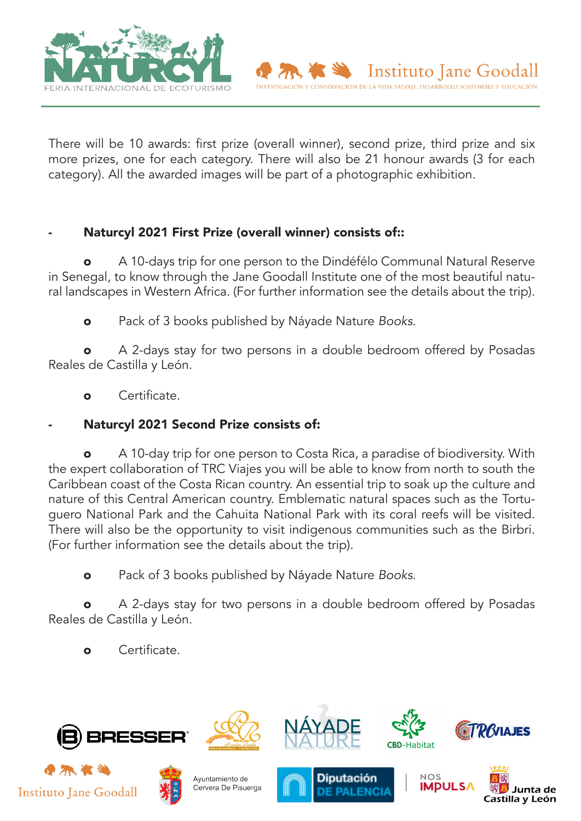

There will be 10 awards: first prize (overall winner), second prize, third prize and six more prizes, one for each category. There will also be 21 honour awards (3 for each category). All the awarded images will be part of a photographic exhibition.

Instituto Jane Goodall

INVESTIGACIÓN Y CONSERVACIÓN DE LA VIDA SALVAJE, DESARROLLO SOSTENIBLE Y EDUCACIÓN

# Naturcyl 2021 First Prize (overall winner) consists of::

A 10-days trip for one person to the Dindéfélo Communal Natural Reserve in Senegal, to know through the Jane Goodall Institute one of the most beautiful natural landscapes in Western Africa. (For further information see the details about the trip).

o Pack of 3 books published by Náyade Nature *Books*.

A 2-days stay for two persons in a double bedroom offered by Posadas Reales de Castilla y León.

o Certificate.

Naturcyl 2021 Second Prize consists of:

A 10-day trip for one person to Costa Rica, a paradise of biodiversity. With the expert collaboration of TRC Viajes you will be able to know from north to south the Caribbean coast of the Costa Rican country. An essential trip to soak up the culture and nature of this Central American country. Emblematic natural spaces such as the Tortuguero National Park and the Cahuita National Park with its coral reefs will be visited. There will also be the opportunity to visit indigenous communities such as the Birbri. (For further information see the details about the trip).

o Pack of 3 books published by Náyade Nature *Books*.

A 2-days stay for two persons in a double bedroom offered by Posadas Reales de Castilla y León.

o Certificate.

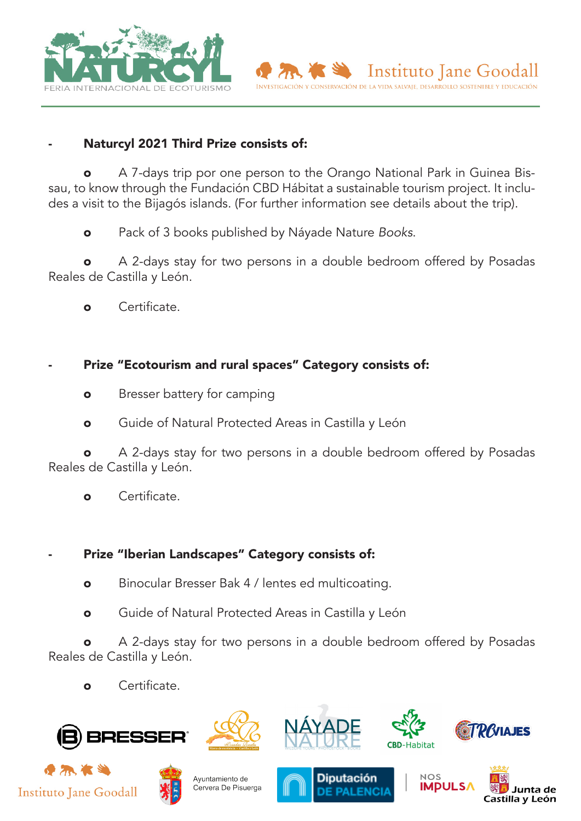



A 7-days trip por one person to the Orango National Park in Guinea Bissau, to know through the Fundación CBD Hábitat a sustainable tourism project. It includes a visit to the Bijagós islands. (For further information see details about the trip).

o Pack of 3 books published by Náyade Nature *Books*.

A 2-days stay for two persons in a double bedroom offered by Posadas Reales de Castilla y León.

- o Certificate.
- Prize "Ecotourism and rural spaces" Category consists of:
	- **o** Bresser battery for camping
	- **o** Guide of Natural Protected Areas in Castilla y León

A 2-days stay for two persons in a double bedroom offered by Posadas Reales de Castilla y León.

o Certificate.

#### Prize "Iberian Landscapes" Category consists of:

- o Binocular Bresser Bak 4 / lentes ed multicoating.
- o Guide of Natural Protected Areas in Castilla y León

**o** A 2-days stay for two persons in a double bedroom offered by Posadas Reales de Castilla y León.

o Certificate.











**Diputación** 







Instituto Jane Goodall

INVESTIGACIÓN Y CONSERVACIÓN DE LA VIDA SALVAJE, DESARROLLO SOSTENIBLE Y EDUCACIÓN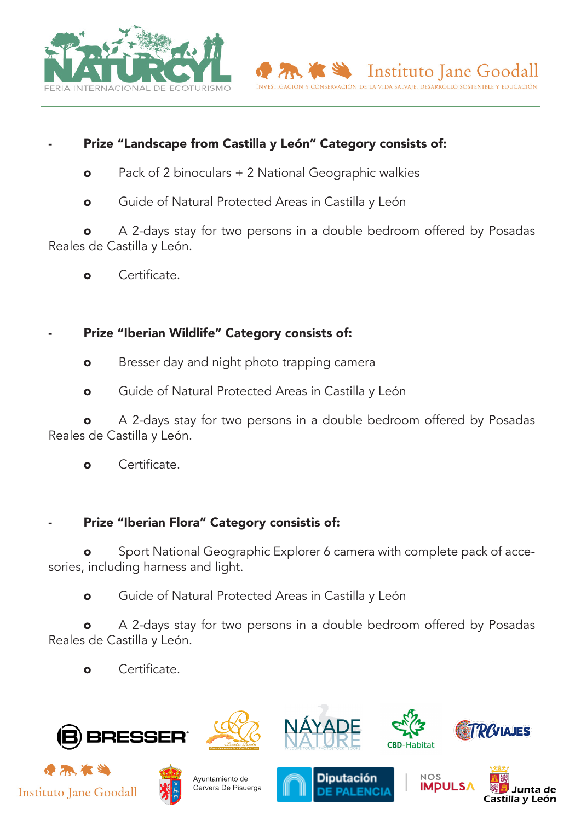



# Prize "Landscape from Castilla y León" Category consists of:

- **o** Pack of 2 binoculars + 2 National Geographic walkies
- o Guide of Natural Protected Areas in Castilla y León

A 2-days stay for two persons in a double bedroom offered by Posadas Reales de Castilla y León.

o Certificate.

# Prize "Iberian Wildlife" Category consists of:

- **o** Bresser day and night photo trapping camera
- o Guide of Natural Protected Areas in Castilla y León

A 2-days stay for two persons in a double bedroom offered by Posadas Reales de Castilla y León.

o Certificate.

#### Prize "Iberian Flora" Category consistis of:

Sport National Geographic Explorer 6 camera with complete pack of accesories, including harness and light.

o Guide of Natural Protected Areas in Castilla y León

A 2-days stay for two persons in a double bedroom offered by Posadas Reales de Castilla y León.

o Certificate.

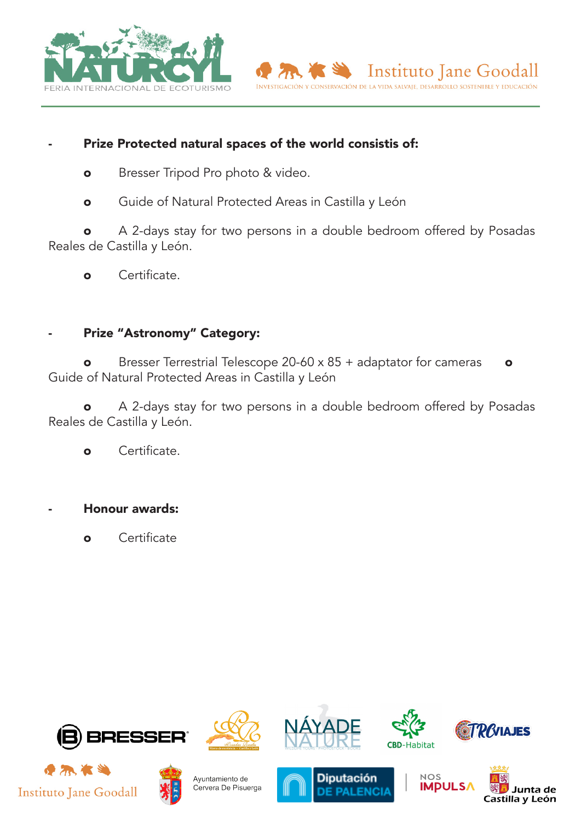



- **o** Bresser Tripod Pro photo & video.
- **o** Guide of Natural Protected Areas in Castilla y León

o A 2-days stay for two persons in a double bedroom offered by Posadas Reales de Castilla y León.

o Certificate.

#### Prize "Astronomy" Category:

o Bresser Terrestrial Telescope 20-60 x 85 + adaptator for cameras o Guide of Natural Protected Areas in Castilla y León

o A 2-days stay for two persons in a double bedroom offered by Posadas Reales de Castilla y León.

o Certificate.

Honour awards:

o Certificate









Instituto Jane Goodall

INVESTIGACIÓN Y CONSERVACIÓN DE LA VIDA SALVAJE, DESARROLLO SOSTENIBLE Y EDUCACIÓN









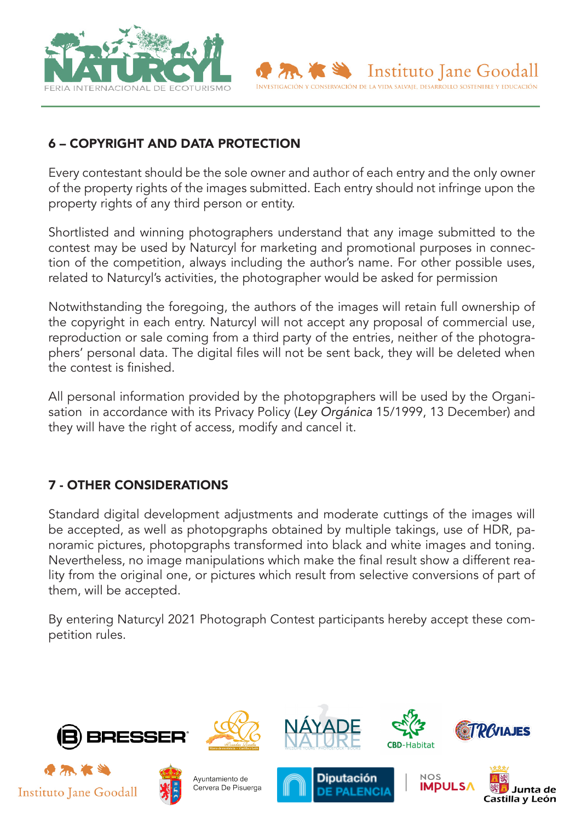



Every contestant should be the sole owner and author of each entry and the only owner of the property rights of the images submitted. Each entry should not infringe upon the property rights of any third person or entity.

Instituto Jane Goodall

INVESTIGACIÓN Y CONSERVACIÓN DE LA VIDA SALVAJE, DESARROLLO SOSTENIBLE Y EDUCACI

Shortlisted and winning photographers understand that any image submitted to the contest may be used by Naturcyl for marketing and promotional purposes in connection of the competition, always including the author's name. For other possible uses, related to Naturcyl's activities, the photographer would be asked for permission

Notwithstanding the foregoing, the authors of the images will retain full ownership of the copyright in each entry. Naturcyl will not accept any proposal of commercial use, reproduction or sale coming from a third party of the entries, neither of the photographers' personal data. The digital files will not be sent back, they will be deleted when the contest is finished.

All personal information provided by the photopgraphers will be used by the Organisation in accordance with its Privacy Policy (*Ley Orgánica* 15/1999, 13 December) and they will have the right of access, modify and cancel it.

# 7 - OTHER CONSIDERATIONS

Standard digital development adjustments and moderate cuttings of the images will be accepted, as well as photopgraphs obtained by multiple takings, use of HDR, panoramic pictures, photopgraphs transformed into black and white images and toning. Nevertheless, no image manipulations which make the final result show a different reality from the original one, or pictures which result from selective conversions of part of them, will be accepted.

By entering Naturcyl 2021 Photograph Contest participants hereby accept these competition rules.